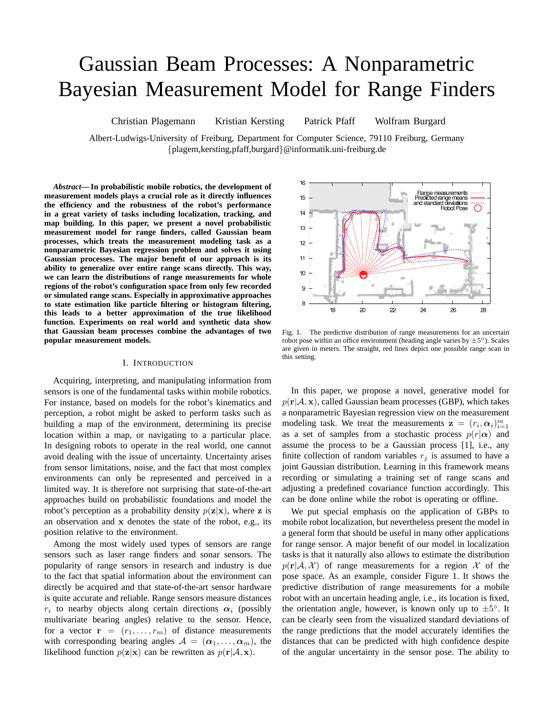# Gaussian Beam Processes: A Nonparametric Bayesian Measurement Model for Range Finders

Christian Plagemann Kristian Kersting Patrick Pfaff Wolfram Burgard

Albert-Ludwigs-University of Freiburg, Department for Computer Science, 79110 Freiburg, Germany {plagem,kersting,pfaff,burgard}@informatik.uni-freiburg.de

*Abstract***— In probabilistic mobile robotics, the development of measurement models plays a crucial role as it directly influences the efficiency and the robustness of the robot's performance in a great variety of tasks including localization, tracking, and map building. In this paper, we present a novel probabilistic measurement model for range finders, called Gaussian beam processes, which treats the measurement modeling task as a nonparametric Bayesian regression problem and solves it using Gaussian processes. The major benefit of our approach is its ability to generalize over entire range scans directly. This way, we can learn the distributions of range measurements for whole regions of the robot's configuration space from only few recorded or simulated range scans. Especially in approximative approaches to state estimation like particle filtering or histogram filtering, this leads to a better approximation of the true likelihood function. Experiments on real world and synthetic data show that Gaussian beam processes combine the advantages of two popular measurement models.**

#### I. INTRODUCTION

Acquiring, interpreting, and manipulating information from sensors is one of the fundamental tasks within mobile robotics. For instance, based on models for the robot's kinematics and perception, a robot might be asked to perform tasks such as building a map of the environment, determining its precise location within a map, or navigating to a particular place. In designing robots to operate in the real world, one cannot avoid dealing with the issue of uncertainty. Uncertainty arises from sensor limitations, noise, and the fact that most complex environments can only be represented and perceived in a limited way. It is therefore not surprising that state-of-the-art approaches build on probabilistic foundations and model the robot's perception as a probability density  $p(\mathbf{z}|\mathbf{x})$ , where z is an observation and x denotes the state of the robot, e.g., its position relative to the environment.

Among the most widely used types of sensors are range sensors such as laser range finders and sonar sensors. The popularity of range sensors in research and industry is due to the fact that spatial information about the environment can directly be acquired and that state-of-the-art sensor hardware is quite accurate and reliable. Range sensors measure distances  $r_i$  to nearby objects along certain directions  $\alpha_i$  (possibly multivariate bearing angles) relative to the sensor. Hence, for a vector  $\mathbf{r} = (r_1, \dots, r_m)$  of distance measurements with corresponding bearing angles  $A = (\alpha_1, \dots, \alpha_m)$ , the likelihood function  $p(\mathbf{z}|\mathbf{x})$  can be rewritten as  $p(\mathbf{r}|\mathcal{A}, \mathbf{x})$ .



Fig. 1. The predictive distribution of range measurements for an uncertain robot pose within an office environment (heading angle varies by  $\pm 5^{\circ}$ ). Scales are given in meters. The straight, red lines depict one possible range scan in this setting.

In this paper, we propose a novel, generative model for  $p(\mathbf{r}|\mathcal{A}, \mathbf{x})$ , called Gaussian beam processes (GBP), which takes a nonparametric Bayesian regression view on the measurement modeling task. We treat the measurements  $\mathbf{z} = (r_i, \alpha_i)_{i=1}^m$ as a set of samples from a stochastic process  $p(r|\alpha)$  and assume the process to be a Gaussian process [1], i.e., any finite collection of random variables  $r_j$  is assumed to have a joint Gaussian distribution. Learning in this framework means recording or simulating a training set of range scans and adjusting a predefined covariance function accordingly. This can be done online while the robot is operating or offline.

We put special emphasis on the application of GBPs to mobile robot localization, but nevertheless present the model in a general form that should be useful in many other applications for range sensor. A major benefit of our model in localization tasks is that it naturally also allows to estimate the distribution  $p(\mathbf{r}|\mathcal{A}, \mathcal{X})$  of range measurements for a region X of the pose space. As an example, consider Figure 1. It shows the predictive distribution of range measurements for a mobile robot with an uncertain heading angle, i.e., its location is fixed, the orientation angle, however, is known only up to  $\pm 5^{\circ}$ . It can be clearly seen from the visualized standard deviations of the range predictions that the model accurately identifies the distances that can be predicted with high confidence despite of the angular uncertainty in the sensor pose. The ability to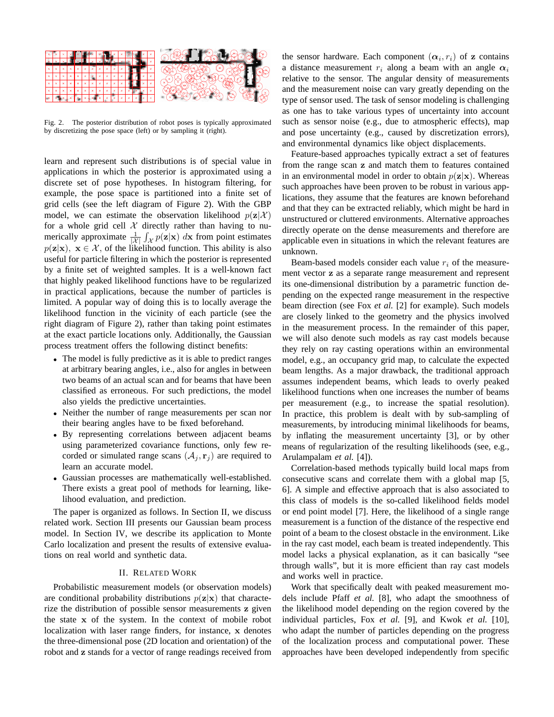

Fig. 2. The posterior distribution of robot poses is typically approximated by discretizing the pose space (left) or by sampling it (right).

learn and represent such distributions is of special value in applications in which the posterior is approximated using a discrete set of pose hypotheses. In histogram filtering, for example, the pose space is partitioned into a finite set of grid cells (see the left diagram of Figure 2). With the GBP model, we can estimate the observation likelihood  $p(\mathbf{z}|\mathcal{X})$ for a whole grid cell  $\mathcal X$  directly rather than having to numerically approximate  $\frac{1}{|\mathcal{X}|} \int_{\mathcal{X}} p(\mathbf{z}|\mathbf{x}) dx$  from point estimates  $p(\mathbf{z}|\mathbf{x})$ ,  $\mathbf{x} \in \mathcal{X}$ , of the likelihood function. This ability is also useful for particle filtering in which the posterior is represented by a finite set of weighted samples. It is a well-known fact that highly peaked likelihood functions have to be regularized in practical applications, because the number of particles is limited. A popular way of doing this is to locally average the likelihood function in the vicinity of each particle (see the right diagram of Figure 2), rather than taking point estimates at the exact particle locations only. Additionally, the Gaussian process treatment offers the following distinct benefits:

- The model is fully predictive as it is able to predict ranges at arbitrary bearing angles, i.e., also for angles in between two beams of an actual scan and for beams that have been classified as erroneous. For such predictions, the model also yields the predictive uncertainties.
- Neither the number of range measurements per scan nor their bearing angles have to be fixed beforehand.
- By representing correlations between adjacent beams using parameterized covariance functions, only few recorded or simulated range scans  $(\mathcal{A}_i, \mathbf{r}_i)$  are required to learn an accurate model.
- Gaussian processes are mathematically well-established. There exists a great pool of methods for learning, likelihood evaluation, and prediction.

The paper is organized as follows. In Section II, we discuss related work. Section III presents our Gaussian beam process model. In Section IV, we describe its application to Monte Carlo localization and present the results of extensive evaluations on real world and synthetic data.

## II. RELATED WORK

Probabilistic measurement models (or observation models) are conditional probability distributions  $p(\mathbf{z}|\mathbf{x})$  that characterize the distribution of possible sensor measurements z given the state x of the system. In the context of mobile robot localization with laser range finders, for instance, x denotes the three-dimensional pose (2D location and orientation) of the robot and z stands for a vector of range readings received from

the sensor hardware. Each component  $(\alpha_i, r_i)$  of z contains a distance measurement  $r_i$  along a beam with an angle  $\alpha_i$ relative to the sensor. The angular density of measurements and the measurement noise can vary greatly depending on the type of sensor used. The task of sensor modeling is challenging as one has to take various types of uncertainty into account such as sensor noise (e.g., due to atmospheric effects), map and pose uncertainty (e.g., caused by discretization errors), and environmental dynamics like object displacements.

Feature-based approaches typically extract a set of features from the range scan z and match them to features contained in an environmental model in order to obtain  $p(\mathbf{z}|\mathbf{x})$ . Whereas such approaches have been proven to be robust in various applications, they assume that the features are known beforehand and that they can be extracted reliably, which might be hard in unstructured or cluttered environments. Alternative approaches directly operate on the dense measurements and therefore are applicable even in situations in which the relevant features are unknown.

Beam-based models consider each value  $r_i$  of the measurement vector z as a separate range measurement and represent its one-dimensional distribution by a parametric function depending on the expected range measurement in the respective beam direction (see Fox *et al.* [2] for example). Such models are closely linked to the geometry and the physics involved in the measurement process. In the remainder of this paper, we will also denote such models as ray cast models because they rely on ray casting operations within an environmental model, e.g., an occupancy grid map, to calculate the expected beam lengths. As a major drawback, the traditional approach assumes independent beams, which leads to overly peaked likelihood functions when one increases the number of beams per measurement (e.g., to increase the spatial resolution). In practice, this problem is dealt with by sub-sampling of measurements, by introducing minimal likelihoods for beams, by inflating the measurement uncertainty [3], or by other means of regularization of the resulting likelihoods (see, e.g., Arulampalam *et al.* [4]).

Correlation-based methods typically build local maps from consecutive scans and correlate them with a global map [5, 6]. A simple and effective approach that is also associated to this class of models is the so-called likelihood fields model or end point model [7]. Here, the likelihood of a single range measurement is a function of the distance of the respective end point of a beam to the closest obstacle in the environment. Like in the ray cast model, each beam is treated independently. This model lacks a physical explanation, as it can basically "see through walls", but it is more efficient than ray cast models and works well in practice.

Work that specifically dealt with peaked measurement models include Pfaff *et al.* [8], who adapt the smoothness of the likelihood model depending on the region covered by the individual particles, Fox *et al.* [9], and Kwok *et al.* [10], who adapt the number of particles depending on the progress of the localization process and computational power. These approaches have been developed independently from specific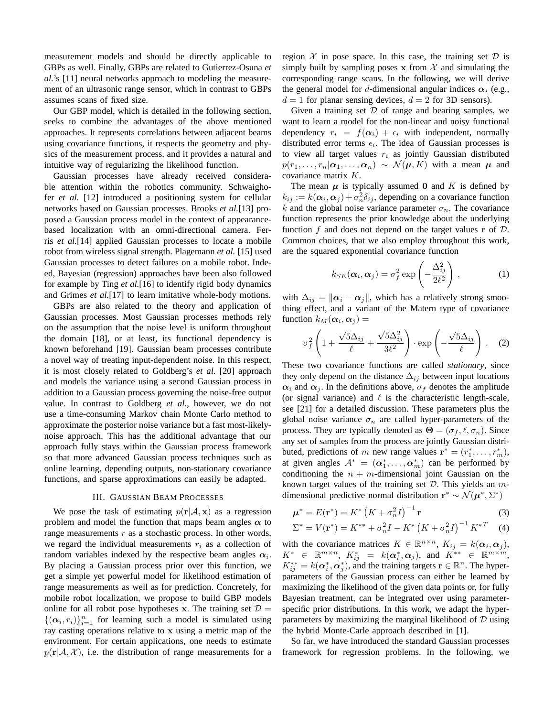measurement models and should be directly applicable to GBPs as well. Finally, GBPs are related to Gutierrez-Osuna *et al.*'s [11] neural networks approach to modeling the measurement of an ultrasonic range sensor, which in contrast to GBPs assumes scans of fixed size.

Our GBP model, which is detailed in the following section, seeks to combine the advantages of the above mentioned approaches. It represents correlations between adjacent beams using covariance functions, it respects the geometry and physics of the measurement process, and it provides a natural and intuitive way of regularizing the likelihood function.

Gaussian processes have already received considerable attention within the robotics community. Schwaighofer *et al.* [12] introduced a positioning system for cellular networks based on Gaussian processes. Brooks *et al.*[13] proposed a Gaussian process model in the context of appearancebased localization with an omni-directional camera. Ferris *et al.*[14] applied Gaussian processes to locate a mobile robot from wireless signal strength. Plagemann *et al.* [15] used Gaussian processes to detect failures on a mobile robot. Indeed, Bayesian (regression) approaches have been also followed for example by Ting *et al.*[16] to identify rigid body dynamics and Grimes *et al.*[17] to learn imitative whole-body motions.

GBPs are also related to the theory and application of Gaussian processes. Most Gaussian processes methods rely on the assumption that the noise level is uniform throughout the domain [18], or at least, its functional dependency is known beforehand [19]. Gaussian beam processes contribute a novel way of treating input-dependent noise. In this respect, it is most closely related to Goldberg's *et al.* [20] approach and models the variance using a second Gaussian process in addition to a Gaussian process governing the noise-free output value. In contrast to Goldberg *et al.*, however, we do not use a time-consuming Markov chain Monte Carlo method to approximate the posterior noise variance but a fast most-likelynoise approach. This has the additional advantage that our approach fully stays within the Gaussian process framework so that more advanced Gaussian process techniques such as online learning, depending outputs, non-stationary covariance functions, and sparse approximations can easily be adapted.

## III. GAUSSIAN BEAM PROCESSES

We pose the task of estimating  $p(\mathbf{r}|\mathcal{A}, \mathbf{x})$  as a regression problem and model the function that maps beam angles  $\alpha$  to range measurements  $r$  as a stochastic process. In other words, we regard the individual measurements  $r_i$  as a collection of random variables indexed by the respective beam angles  $\alpha_i$ . By placing a Gaussian process prior over this function, we get a simple yet powerful model for likelihood estimation of range measurements as well as for prediction. Concretely, for mobile robot localization, we propose to build GBP models online for all robot pose hypotheses x. The training set  $\mathcal{D} =$  $\{(\alpha_i, r_i)\}_{i=1}^n$  for learning such a model is simulated using ray casting operations relative to x using a metric map of the environment. For certain applications, one needs to estimate  $p(\mathbf{r}|\mathcal{A}, \mathcal{X})$ , i.e. the distribution of range measurements for a region  $X$  in pose space. In this case, the training set  $D$  is simply built by sampling poses x from  $X$  and simulating the corresponding range scans. In the following, we will derive the general model for d-dimensional angular indices  $\alpha_i$  (e.g.,  $d = 1$  for planar sensing devices,  $d = 2$  for 3D sensors).

Given a training set  $D$  of range and bearing samples, we want to learn a model for the non-linear and noisy functional dependency  $r_i = f(\alpha_i) + \epsilon_i$  with independent, normally distributed error terms  $\epsilon_i$ . The idea of Gaussian processes is to view all target values  $r_i$  as jointly Gaussian distributed  $p(r_1, \ldots, r_n | \alpha_1, \ldots, \alpha_n) \sim \mathcal{N}(\mu, K)$  with a mean  $\mu$  and covariance matrix K.

The mean  $\mu$  is typically assumed 0 and K is defined by  $k_{ij} := k(\boldsymbol{\alpha}_i, \boldsymbol{\alpha}_j) + \sigma_n^2 \delta_{ij}$ , depending on a covariance function k and the global noise variance parameter  $\sigma_n$ . The covariance function represents the prior knowledge about the underlying function  $f$  and does not depend on the target values  $\mathbf r$  of  $\mathcal D$ . Common choices, that we also employ throughout this work, are the squared exponential covariance function

$$
k_{SE}(\boldsymbol{\alpha}_i, \boldsymbol{\alpha}_j) = \sigma_f^2 \exp\left(-\frac{\Delta_{ij}^2}{2\ell^2}\right), \qquad (1)
$$

with  $\Delta_{ij} = ||\alpha_i - \alpha_j||$ , which has a relatively strong smoothing effect, and a variant of the Matern type of covariance function  $k_M(\boldsymbol{\alpha}_i, \boldsymbol{\alpha}_j) =$ 

$$
\sigma_f^2 \left( 1 + \frac{\sqrt{5}\Delta_{ij}}{\ell} + \frac{\sqrt{5}\Delta_{ij}^2}{3\ell^2} \right) \cdot \exp\left( -\frac{\sqrt{5}\Delta_{ij}}{\ell} \right) . \tag{2}
$$

These two covariance functions are called *stationary*, since they only depend on the distance  $\Delta_{ij}$  between input locations  $\alpha_i$  and  $\alpha_j$ . In the definitions above,  $\sigma_f$  denotes the amplitude (or signal variance) and  $\ell$  is the characteristic length-scale, see [21] for a detailed discussion. These parameters plus the global noise variance  $\sigma_n$  are called hyper-parameters of the process. They are typically denoted as  $\Theta = (\sigma_f, \ell, \sigma_n)$ . Since any set of samples from the process are jointly Gaussian distributed, predictions of m new range values  $\mathbf{r}^* = (r_1^*, \dots, r_m^*)$ , at given angles  $A^* = (\alpha_1^*, \dots, \alpha_m^*)$  can be performed by conditioning the  $n + m$ -dimensional joint Gaussian on the known target values of the training set  $D$ . This yields an  $m$ dimensional predictive normal distribution  $\mathbf{r}^* \sim \mathcal{N}(\boldsymbol{\mu}^*, \Sigma^*)$ 

$$
\boldsymbol{\mu}^* = E(\mathbf{r}^*) = K^* \left( K + \sigma_n^2 I \right)^{-1} \mathbf{r}
$$
 (3)

$$
\Sigma^* = V(\mathbf{r}^*) = K^{**} + \sigma_n^2 I - K^* (K + \sigma_n^2 I)^{-1} K^{*T}
$$
 (4)

with the covariance matrices  $K \in \mathbb{R}^{n \times n}$ ,  $K_{ij} = k(\alpha_i, \alpha_j)$ ,  $K^* \in \mathbb{R}^{m \times n}, \; K^*_{ij} \; = \; k(\boldsymbol{\alpha}^*_i, \boldsymbol{\alpha}_j), \; \text{and} \; \; K^{**} \; \in \; \mathbb{R}^{m \times m},$  $K_{ij}^{**} = k(\boldsymbol{\alpha}_i^*,\boldsymbol{\alpha}_j^*)$ , and the training targets  $\mathbf{r} \in \mathbb{R}^n$ . The hyperparameters of the Gaussian process can either be learned by maximizing the likelihood of the given data points or, for fully Bayesian treatment, can be integrated over using parameterspecific prior distributions. In this work, we adapt the hyperparameters by maximizing the marginal likelihood of  $D$  using the hybrid Monte-Carle approach described in [1].

So far, we have introduced the standard Gaussian processes framework for regression problems. In the following, we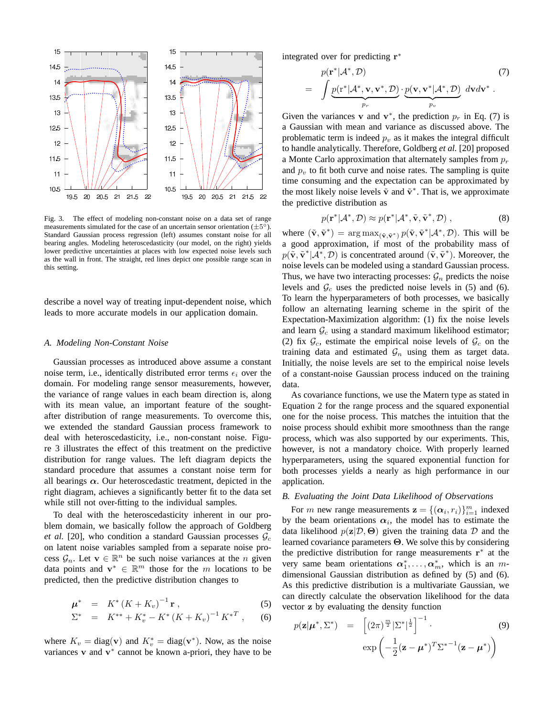

Fig. 3. The effect of modeling non-constant noise on a data set of range measurements simulated for the case of an uncertain sensor orientation  $(\pm 5^{\circ})$ . Standard Gaussian process regression (left) assumes constant noise for all bearing angles. Modeling heteroscedasticity (our model, on the right) yields lower predictive uncertainties at places with low expected noise levels such as the wall in front. The straight, red lines depict one possible range scan in this setting.

describe a novel way of treating input-dependent noise, which leads to more accurate models in our application domain.

### *A. Modeling Non-Constant Noise*

Gaussian processes as introduced above assume a constant noise term, i.e., identically distributed error terms  $\epsilon_i$  over the domain. For modeling range sensor measurements, however, the variance of range values in each beam direction is, along with its mean value, an important feature of the soughtafter distribution of range measurements. To overcome this, we extended the standard Gaussian process framework to deal with heteroscedasticity, i.e., non-constant noise. Figure 3 illustrates the effect of this treatment on the predictive distribution for range values. The left diagram depicts the standard procedure that assumes a constant noise term for all bearings  $\alpha$ . Our heteroscedastic treatment, depicted in the right diagram, achieves a significantly better fit to the data set while still not over-fitting to the individual samples.

To deal with the heteroscedasticity inherent in our problem domain, we basically follow the approach of Goldberg *et al.* [20], who condition a standard Gaussian processes  $\mathcal{G}_c$ on latent noise variables sampled from a separate noise process  $\mathcal{G}_n$ . Let  $\mathbf{v} \in \mathbb{R}^n$  be such noise variances at the *n* given data points and  $\mathbf{v}^* \in \mathbb{R}^m$  those for the m locations to be predicted, then the predictive distribution changes to

$$
\mu^* = K^* (K + K_v)^{-1} \mathbf{r} , \qquad (5)
$$

$$
\Sigma^* = K^{**} + K_v^* - K^* (K + K_v)^{-1} K^{*T} , \qquad (6)
$$

where  $K_v = \text{diag}(\mathbf{v})$  and  $K_v^* = \text{diag}(\mathbf{v}^*)$ . Now, as the noise variances  $v$  and  $v^*$  cannot be known a-priori, they have to be integrated over for predicting  $\mathbf{r}^*$ 

$$
= \int \underbrace{p(\mathbf{r}^*|\mathcal{A}^*, \mathcal{D})}_{p_r} \cdot \underbrace{p(\mathbf{v}, \mathbf{v}^*|\mathcal{A}^*, \mathcal{D})}_{p_v} \cdot d\mathbf{v} d\mathbf{v}^*.
$$
 (7)

Given the variances **v** and **v**<sup>\*</sup>, the prediction  $p_r$  in Eq. (7) is a Gaussian with mean and variance as discussed above. The problematic term is indeed  $p_v$  as it makes the integral difficult to handle analytically. Therefore, Goldberg *et al.* [20] proposed a Monte Carlo approximation that alternately samples from  $p_r$ and  $p<sub>v</sub>$  to fit both curve and noise rates. The sampling is quite time consuming and the expectation can be approximated by the most likely noise levels  $\tilde{\mathbf{v}}$  and  $\tilde{\mathbf{v}}^*$ . That is, we approximate the predictive distribution as

$$
p(\mathbf{r}^*|\mathcal{A}^*, \mathcal{D}) \approx p(\mathbf{r}^*|\mathcal{A}^*, \tilde{\mathbf{v}}, \tilde{\mathbf{v}}^*, \mathcal{D}),
$$
 (8)

where  $(\tilde{\mathbf{v}}, \tilde{\mathbf{v}}^*)$  =  $\arg \max_{(\tilde{\mathbf{v}}, \tilde{\mathbf{v}}^*)} p(\tilde{\mathbf{v}}, \tilde{\mathbf{v}}^* | \mathcal{A}^*, \mathcal{D})$ . This will be a good approximation, if most of the probability mass of  $p(\tilde{\mathbf{v}}, \tilde{\mathbf{v}}^* | \mathcal{A}^*, \mathcal{D})$  is concentrated around  $(\tilde{\mathbf{v}}, \tilde{\mathbf{v}}^*)$ . Moreover, the noise levels can be modeled using a standard Gaussian process. Thus, we have two interacting processes:  $\mathcal{G}_n$  predicts the noise levels and  $\mathcal{G}_c$  uses the predicted noise levels in (5) and (6). To learn the hyperparameters of both processes, we basically follow an alternating learning scheme in the spirit of the Expectation-Maximization algorithm: (1) fix the noise levels and learn  $\mathcal{G}_c$  using a standard maximum likelihood estimator; (2) fix  $\mathcal{G}_c$ , estimate the empirical noise levels of  $\mathcal{G}_c$  on the training data and estimated  $\mathcal{G}_n$  using them as target data. Initially, the noise levels are set to the empirical noise levels of a constant-noise Gaussian process induced on the training data.

As covariance functions, we use the Matern type as stated in Equation 2 for the range process and the squared exponential one for the noise process. This matches the intuition that the noise process should exhibit more smoothness than the range process, which was also supported by our experiments. This, however, is not a mandatory choice. With properly learned hyperparameters, using the squared exponential function for both processes yields a nearly as high performance in our application.

#### *B. Evaluating the Joint Data Likelihood of Observations*

For *m* new range measurements  $\mathbf{z} = \{(\boldsymbol{\alpha}_i, r_i)\}_{i=1}^m$  indexed by the beam orientations  $\alpha_i$ , the model has to estimate the data likelihood  $p(\mathbf{z}|\mathcal{D}, \Theta)$  given the training data  $\mathcal D$  and the learned covariance parameters Θ. We solve this by considering the predictive distribution for range measurements r ∗ at the very same beam orientations  $\alpha_1^*, \ldots, \alpha_m^*$ , which is an mdimensional Gaussian distribution as defined by (5) and (6). As this predictive distribution is a multivariate Gaussian, we can directly calculate the observation likelihood for the data vector z by evaluating the density function

$$
p(\mathbf{z}|\boldsymbol{\mu}^*, \Sigma^*) = \begin{bmatrix} (2\pi)^{\frac{m}{2}} |\Sigma^*|^{\frac{1}{2}} \end{bmatrix}^{-1}.
$$
\n
$$
\exp\left(-\frac{1}{2}(\mathbf{z} - \boldsymbol{\mu}^*)^T \Sigma^{*-1}(\mathbf{z} - \boldsymbol{\mu}^*)\right)
$$
\n(9)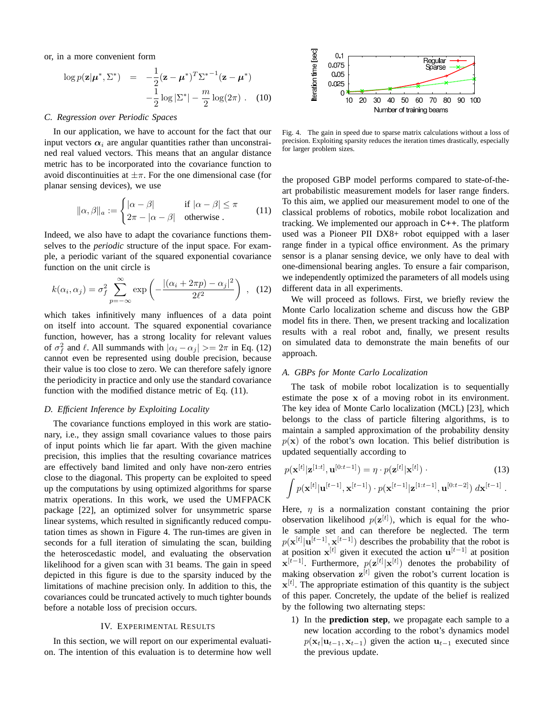or, in a more convenient form

$$
\log p(\mathbf{z}|\boldsymbol{\mu}^*, \boldsymbol{\Sigma}^*) = -\frac{1}{2}(\mathbf{z} - \boldsymbol{\mu}^*)^T \boldsymbol{\Sigma}^{*-1}(\mathbf{z} - \boldsymbol{\mu}^*)
$$

$$
-\frac{1}{2}\log|\boldsymbol{\Sigma}^*| - \frac{m}{2}\log(2\pi). \quad (10)
$$

## *C. Regression over Periodic Spaces*

In our application, we have to account for the fact that our input vectors  $\alpha_i$  are angular quantities rather than unconstrained real valued vectors. This means that an angular distance metric has to be incorporated into the covariance function to avoid discontinuities at  $\pm \pi$ . For the one dimensional case (for planar sensing devices), we use

$$
\|\alpha,\beta\|_a := \begin{cases} |\alpha-\beta| & \text{if } |\alpha-\beta| \le \pi \\ 2\pi - |\alpha-\beta| & \text{otherwise} \end{cases}
$$
 (11)

Indeed, we also have to adapt the covariance functions themselves to the *periodic* structure of the input space. For example, a periodic variant of the squared exponential covariance function on the unit circle is

$$
k(\alpha_i, \alpha_j) = \sigma_f^2 \sum_{p=-\infty}^{\infty} \exp\left(-\frac{|(\alpha_i + 2\pi p) - \alpha_j|^2}{2\ell^2}\right) , \quad (12)
$$

which takes infinitively many influences of a data point on itself into account. The squared exponential covariance function, however, has a strong locality for relevant values of  $\sigma_f^2$  and  $\ell$ . All summands with  $|\alpha_i - \alpha_j| > = 2\pi$  in Eq. (12) cannot even be represented using double precision, because their value is too close to zero. We can therefore safely ignore the periodicity in practice and only use the standard covariance function with the modified distance metric of Eq. (11).

## *D. Efficient Inference by Exploiting Locality*

The covariance functions employed in this work are stationary, i.e., they assign small covariance values to those pairs of input points which lie far apart. With the given machine precision, this implies that the resulting covariance matrices are effectively band limited and only have non-zero entries close to the diagonal. This property can be exploited to speed up the computations by using optimized algorithms for sparse matrix operations. In this work, we used the UMFPACK package [22], an optimized solver for unsymmetric sparse linear systems, which resulted in significantly reduced computation times as shown in Figure 4. The run-times are given in seconds for a full iteration of simulating the scan, building the heteroscedastic model, and evaluating the observation likelihood for a given scan with 31 beams. The gain in speed depicted in this figure is due to the sparsity induced by the limitations of machine precision only. In addition to this, the covariances could be truncated actively to much tighter bounds before a notable loss of precision occurs.

#### IV. EXPERIMENTAL RESULTS

In this section, we will report on our experimental evaluation. The intention of this evaluation is to determine how well



Fig. 4. The gain in speed due to sparse matrix calculations without a loss of precision. Exploiting sparsity reduces the iteration times drastically, especially for larger problem sizes.

the proposed GBP model performs compared to state-of-theart probabilistic measurement models for laser range finders. To this aim, we applied our measurement model to one of the classical problems of robotics, mobile robot localization and tracking. We implemented our approach in C++. The platform used was a Pioneer PII DX8+ robot equipped with a laser range finder in a typical office environment. As the primary sensor is a planar sensing device, we only have to deal with one-dimensional bearing angles. To ensure a fair comparison, we independently optimized the parameters of all models using different data in all experiments.

We will proceed as follows. First, we briefly review the Monte Carlo localization scheme and discuss how the GBP model fits in there. Then, we present tracking and localization results with a real robot and, finally, we present results on simulated data to demonstrate the main benefits of our approach.

## *A. GBPs for Monte Carlo Localization*

The task of mobile robot localization is to sequentially estimate the pose x of a moving robot in its environment. The key idea of Monte Carlo localization (MCL) [23], which belongs to the class of particle filtering algorithms, is to maintain a sampled approximation of the probability density  $p(x)$  of the robot's own location. This belief distribution is updated sequentially according to

$$
p(\mathbf{x}^{[t]}|\mathbf{z}^{[1:t]}, \mathbf{u}^{[0:t-1]}) = \eta \cdot p(\mathbf{z}^{[t]}|\mathbf{x}^{[t]}) \cdot (13)
$$

$$
\int p(\mathbf{x}^{[t]}|\mathbf{u}^{[t-1]}, \mathbf{x}^{[t-1]}) \cdot p(\mathbf{x}^{[t-1]}|\mathbf{z}^{[1:t-1]}, \mathbf{u}^{[0:t-2]}) d\mathbf{x}^{[t-1]}.
$$

Here,  $\eta$  is a normalization constant containing the prior observation likelihood  $p(\mathbf{z}^{[t]})$ , which is equal for the whole sample set and can therefore be neglected. The term  $p(\mathbf{x}^{[t]} | \mathbf{u}^{[t-1]}, \mathbf{x}^{[t-1]})$  describes the probability that the robot is at position  $\mathbf{x}^{[t]}$  given it executed the action  $\mathbf{u}^{[t-1]}$  at position  $\mathbf{x}^{[t-1]}$ . Furthermore,  $p(\mathbf{z}^{[t]}|\mathbf{x}^{[t]})$  denotes the probability of making observation  $z^{[t]}$  given the robot's current location is  $\mathbf{x}^{[t]}$ . The appropriate estimation of this quantity is the subject of this paper. Concretely, the update of the belief is realized by the following two alternating steps:

1) In the **prediction step**, we propagate each sample to a new location according to the robot's dynamics model  $p(\mathbf{x}_t|\mathbf{u}_{t-1}, \mathbf{x}_{t-1})$  given the action  $\mathbf{u}_{t-1}$  executed since the previous update.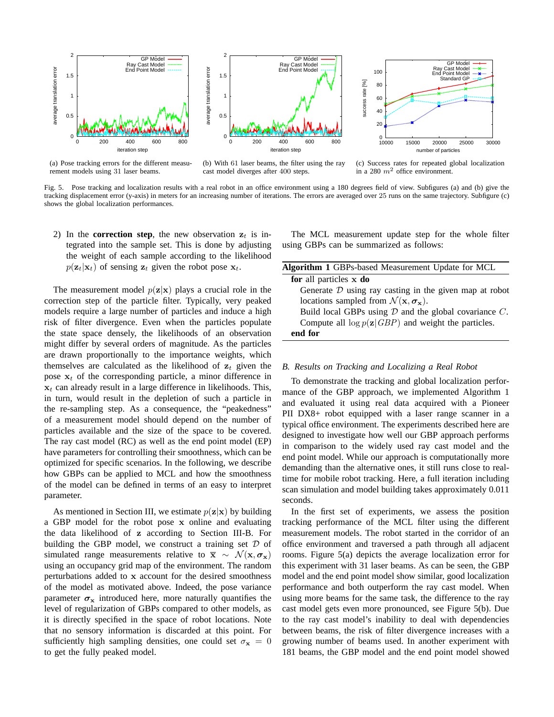

(a) Pose tracking errors for the different measurement models using 31 laser beams.



(b) With 61 laser beams, the filter using the ray cast model diverges after 400 steps.



(c) Success rates for repeated global localization in a 280  $m^2$  office environment.

Fig. 5. Pose tracking and localization results with a real robot in an office environment using a 180 degrees field of view. Subfigures (a) and (b) give the tracking displacement error (y-axis) in meters for an increasing number of iterations. The errors are averaged over 25 runs on the same trajectory. Subfigure (c) shows the global localization performances.

2) In the **correction step**, the new observation  $z_t$  is integrated into the sample set. This is done by adjusting the weight of each sample according to the likelihood  $p(\mathbf{z}_t|\mathbf{x}_t)$  of sensing  $\mathbf{z}_t$  given the robot pose  $\mathbf{x}_t$ .

The measurement model  $p(\mathbf{z}|\mathbf{x})$  plays a crucial role in the correction step of the particle filter. Typically, very peaked models require a large number of particles and induce a high risk of filter divergence. Even when the particles populate the state space densely, the likelihoods of an observation might differ by several orders of magnitude. As the particles are drawn proportionally to the importance weights, which themselves are calculated as the likelihood of  $z_t$  given the pose  $x_t$  of the corresponding particle, a minor difference in  $x_t$  can already result in a large difference in likelihoods. This, in turn, would result in the depletion of such a particle in the re-sampling step. As a consequence, the "peakedness" of a measurement model should depend on the number of particles available and the size of the space to be covered. The ray cast model (RC) as well as the end point model (EP) have parameters for controlling their smoothness, which can be optimized for specific scenarios. In the following, we describe how GBPs can be applied to MCL and how the smoothness of the model can be defined in terms of an easy to interpret parameter.

As mentioned in Section III, we estimate  $p(\mathbf{z}|\mathbf{x})$  by building a GBP model for the robot pose x online and evaluating the data likelihood of z according to Section III-B. For building the GBP model, we construct a training set  $D$  of simulated range measurements relative to  $\bar{x} \sim \mathcal{N}(x, \sigma_x)$ using an occupancy grid map of the environment. The random perturbations added to x account for the desired smoothness of the model as motivated above. Indeed, the pose variance parameter  $\sigma_x$  introduced here, more naturally quantifies the level of regularization of GBPs compared to other models, as it is directly specified in the space of robot locations. Note that no sensory information is discarded at this point. For sufficiently high sampling densities, one could set  $\sigma_x = 0$ to get the fully peaked model.

The MCL measurement update step for the whole filter using GBPs can be summarized as follows:

| <b>Algorithm 1 GBPs-based Measurement Update for MCL</b>                |
|-------------------------------------------------------------------------|
| for all particles x do                                                  |
| Generate $D$ using ray casting in the given map at robot                |
| locations sampled from $\mathcal{N}(\mathbf{x}, \sigma_{\mathbf{x}})$ . |
| Build local GBPs using $D$ and the global covariance $C$ .              |
| Compute all $\log p(\mathbf{z} GBP)$ and weight the particles.          |
| end for                                                                 |

#### *B. Results on Tracking and Localizing a Real Robot*

To demonstrate the tracking and global localization performance of the GBP approach, we implemented Algorithm 1 and evaluated it using real data acquired with a Pioneer PII DX8+ robot equipped with a laser range scanner in a typical office environment. The experiments described here are designed to investigate how well our GBP approach performs in comparison to the widely used ray cast model and the end point model. While our approach is computationally more demanding than the alternative ones, it still runs close to realtime for mobile robot tracking. Here, a full iteration including scan simulation and model building takes approximately 0.011 seconds.

In the first set of experiments, we assess the position tracking performance of the MCL filter using the different measurement models. The robot started in the corridor of an office environment and traversed a path through all adjacent rooms. Figure 5(a) depicts the average localization error for this experiment with 31 laser beams. As can be seen, the GBP model and the end point model show similar, good localization performance and both outperform the ray cast model. When using more beams for the same task, the difference to the ray cast model gets even more pronounced, see Figure 5(b). Due to the ray cast model's inability to deal with dependencies between beams, the risk of filter divergence increases with a growing number of beams used. In another experiment with 181 beams, the GBP model and the end point model showed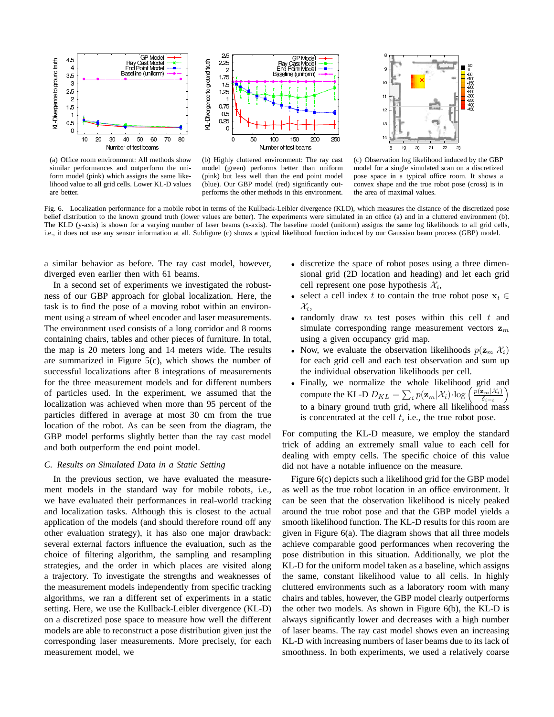

(a) Office room environment: All methods show similar performances and outperform the uniform model (pink) which assigns the same likelihood value to all grid cells. Lower KL-D values are better.



(b) Highly cluttered environment: The ray cast model (green) performs better than uniform (pink) but less well than the end point model (blue). Our GBP model (red) significantly outperforms the other methods in this environment.



(c) Observation log likelihood induced by the GBP model for a single simulated scan on a discretized pose space in a typical office room. It shows a convex shape and the true robot pose (cross) is in the area of maximal values.

Fig. 6. Localization performance for a mobile robot in terms of the Kullback-Leibler divergence (KLD), which measures the distance of the discretized pose belief distribution to the known ground truth (lower values are better). The experiments were simulated in an office (a) and in a cluttered environment (b). The KLD (y-axis) is shown for a varying number of laser beams (x-axis). The baseline model (uniform) assigns the same log likelihoods to all grid cells, i.e., it does not use any sensor information at all. Subfigure (c) shows a typical likelihood function induced by our Gaussian beam process (GBP) model.

a similar behavior as before. The ray cast model, however, diverged even earlier then with 61 beams.

In a second set of experiments we investigated the robustness of our GBP approach for global localization. Here, the task is to find the pose of a moving robot within an environment using a stream of wheel encoder and laser measurements. The environment used consists of a long corridor and 8 rooms containing chairs, tables and other pieces of furniture. In total, the map is 20 meters long and 14 meters wide. The results are summarized in Figure 5(c), which shows the number of successful localizations after 8 integrations of measurements for the three measurement models and for different numbers of particles used. In the experiment, we assumed that the localization was achieved when more than 95 percent of the particles differed in average at most 30 cm from the true location of the robot. As can be seen from the diagram, the GBP model performs slightly better than the ray cast model and both outperform the end point model.

## *C. Results on Simulated Data in a Static Setting*

In the previous section, we have evaluated the measurement models in the standard way for mobile robots, i.e., we have evaluated their performances in real-world tracking and localization tasks. Although this is closest to the actual application of the models (and should therefore round off any other evaluation strategy), it has also one major drawback: several external factors influence the evaluation, such as the choice of filtering algorithm, the sampling and resampling strategies, and the order in which places are visited along a trajectory. To investigate the strengths and weaknesses of the measurement models independently from specific tracking algorithms, we ran a different set of experiments in a static setting. Here, we use the Kullback-Leibler divergence (KL-D) on a discretized pose space to measure how well the different models are able to reconstruct a pose distribution given just the corresponding laser measurements. More precisely, for each measurement model, we

- discretize the space of robot poses using a three dimensional grid (2D location and heading) and let each grid cell represent one pose hypothesis  $\mathcal{X}_i$ ,
- select a cell index t to contain the true robot pose  $\mathbf{x}_t \in$  $\mathcal{X}_t$ ,
- randomly draw  $m$  test poses within this cell  $t$  and simulate corresponding range measurement vectors  $z_m$ using a given occupancy grid map.
- Now, we evaluate the observation likelihoods  $p(\mathbf{z}_m|\mathcal{X}_i)$ for each grid cell and each test observation and sum up the individual observation likelihoods per cell.
- Finally, we normalize the whole likelihood grid and compute the KL-D  $D_{KL} = \sum_i p(\mathbf{z}_m | \mathcal{X}_i) \cdot \log \left( \frac{p(\mathbf{z}_m | \mathcal{X}_i)}{\delta_{i=t}} \right)$  $\frac{\mathbf{z}_m\left(\mathcal{X}_i\right)}{\delta_{i=t}}\Big)$ to a binary ground truth grid, where all likelihood mass is concentrated at the cell  $t$ , i.e., the true robot pose.

For computing the KL-D measure, we employ the standard trick of adding an extremely small value to each cell for dealing with empty cells. The specific choice of this value did not have a notable influence on the measure.

Figure 6(c) depicts such a likelihood grid for the GBP model as well as the true robot location in an office environment. It can be seen that the observation likelihood is nicely peaked around the true robot pose and that the GBP model yields a smooth likelihood function. The KL-D results for this room are given in Figure 6(a). The diagram shows that all three models achieve comparable good performances when recovering the pose distribution in this situation. Additionally, we plot the KL-D for the uniform model taken as a baseline, which assigns the same, constant likelihood value to all cells. In highly cluttered environments such as a laboratory room with many chairs and tables, however, the GBP model clearly outperforms the other two models. As shown in Figure 6(b), the KL-D is always significantly lower and decreases with a high number of laser beams. The ray cast model shows even an increasing KL-D with increasing numbers of laser beams due to its lack of smoothness. In both experiments, we used a relatively coarse